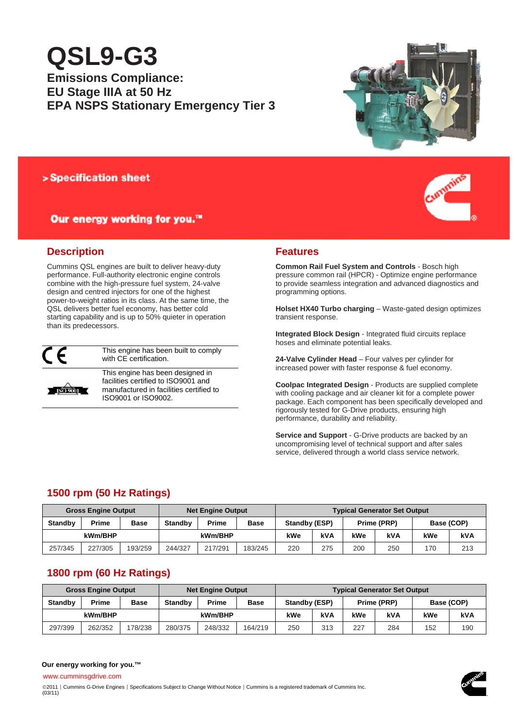# **QSL9-G3**

# **Emissions Compliance: EU Stage IIIA at 50 Hz EPA NSPS Stationary Emergency Tier 3**



## > Specification sheet

# Our energy working for you.™



# **Description**

Cummins QSL engines are built to deliver heavy-duty performance. Full-authority electronic engine controls combine with the high-pressure fuel system, 24-valve design and centred injectors for one of the highest power-to-weight ratios in its class. At the same time, the QSL delivers better fuel economy, has better cold starting capability and is up to 50% quieter in operation than its predecessors.



This engine has been built to comply with CE certification.



This engine has been designed in facilities certified to ISO9001 and manufactured in facilities certified to ISO9001 or ISO9002.

## **Features**

**Common Rail Fuel System and Controls** - Bosch high pressure common rail (HPCR) - Optimize engine performance to provide seamless integration and advanced diagnostics and programming options.

**Holset HX40 Turbo charging** – Waste-gated design optimizes transient response.

**Integrated Block Design** - Integrated fluid circuits replace hoses and eliminate potential leaks.

**24-Valve Cylinder Head** – Four valves per cylinder for increased power with faster response & fuel economy.

**Coolpac Integrated Design** - Products are supplied complete with cooling package and air cleaner kit for a complete power package. Each component has been specifically developed and rigorously tested for G-Drive products, ensuring high performance, durability and reliability.

**Service and Support** - G-Drive products are backed by an uncompromising level of technical support and after sales service, delivered through a world class service network.

# **1500 rpm (50 Hz Ratings)**

| <b>Gross Engine Output</b> |         |             | <b>Net Engine Output</b> |         |             | <b>Typical Generator Set Output</b> |     |             |            |            |     |
|----------------------------|---------|-------------|--------------------------|---------|-------------|-------------------------------------|-----|-------------|------------|------------|-----|
| <b>Standby</b>             | Prime   | <b>Base</b> | <b>Standby</b>           | Prime   | <b>Base</b> | Standby (ESP)                       |     | Prime (PRP) |            | Base (COP) |     |
| kWm/BHP                    |         |             |                          | kWm/BHP |             | kWe                                 | kVA | kWe         | <b>kVA</b> | kWe        | kVA |
| 257/345                    | 227/305 | 193/259     | 244/327                  | 217/291 | 183/245     | 220                                 | 275 | 200         | 250        | 170        | 213 |

# **1800 rpm (60 Hz Ratings)**

| <b>Gross Engine Output</b> |         |             | <b>Net Engine Output</b> |         |         | <b>Typical Generator Set Output</b> |     |             |     |            |     |
|----------------------------|---------|-------------|--------------------------|---------|---------|-------------------------------------|-----|-------------|-----|------------|-----|
| <b>Standby</b>             | Prime   | <b>Base</b> | <b>Standby</b>           | Prime   | Base    | Standby (ESP)                       |     | Prime (PRP) |     | Base (COP) |     |
| kWm/BHP                    |         |             |                          | kWm/BHP |         | kWe                                 | kVA | kWe         | kVA | kWe        | kVA |
| 297/399                    | 262/352 | 78/238      | 280/375                  | 248/332 | 164/219 | 250                                 | 313 | 227         | 284 | 152        | 190 |

### **Our energy working for you.™**

www.cumminsgdrive.com